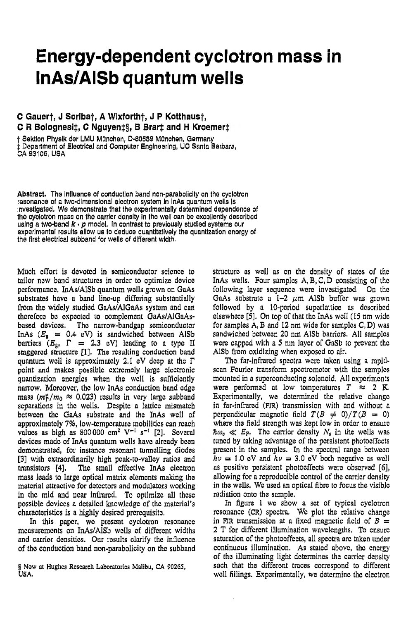## Energy-dependent cyclotron mass in **InAs/AISb quantum wells**

## C Gauert, J Scribat, A Wixfortht, J P Kotthaust, C R Bolognesi‡, C Nguyen‡§, B Brart and H Kroemer‡

+ Sektion Physik der LMU München, D-80539 München, Germany : Department of Electrical and Computer Engineering, UC Santa Barbara, CA 93106, USA

Abstract. The influence of conduction band non-parabolicity on the cyclotron resonance of a two-dimensional electron system in InAs quantum wells is Investigated. We demonstrate that the experimentally determined dependence of the cyclotron mass on the carrier density in the well can be excellently described using a two-band  $k \cdot p$  model. In contrast to previously studied systems our experimental results allow us to deduce quantitatively the quantization energy of the first electrical subband for wells of different width.

Much effort is devoted in semiconductor science to tailor new band structures in order to optimize device performance. InAs/AISb quantum wells grown on GaAs substrates have a band line-up differing substantially from the widely studied GaAs/AlGaAs system and can therefore be expected to complement GaAs/AlGaAsbased devices. The narrow-bandgap semiconductor InAs  $(E_g = 0.4$  eV) is sandwiched between AISb barriers  $(E_{g}, \Gamma = 2.3 \text{ eV})$  leading to a type II staggered structure [1]. The resulting conduction band quantum well is approximately 2.1 eV deep at the  $\Gamma$ point and makes possible extremely large electronic quantization energies when the well is sufficiently narrow. Moreover, the low InAs conduction band edge mass  $(m_1^2/m_0 \approx 0.023)$  results in very large subband separations in the wells. Despite a lattice mismatch between the GaAs substrate and the InAs well of approximately 7%, low-temperature mobilities can reach values as high as 800 000 cm<sup>2</sup> V<sup>-1</sup> s<sup>-1</sup> [2]. Several devices made of InAs quantum wells have already been demonstrated, for instance resonant tunnelling diodes [3] with extraordinarily high peak-to-valley ratios and transistors [4]. The small effective InAs electron mass leads to large optical matrix elements making the material attractive for detectors and modulators working in the mid and near infrared. To optimize all these possible devices a detailed knowledge of the material's characteristics is a highly desired prerequisite.

In this paper, we present eyelotron resonance measurements on InAs/AISb wells of different widths and carrier densities. Our results clarify the influence of the conduction band non-parabolicity on the subband

structure as well as on the density of states of the In As wells. Four samples  $A, B, C, D$  consisting of the following layer sequence were investigated. On the GaAs substrate a  $1-2$   $\mu$ m AlSb buffer was grown followed by a 10-period superlattice as described elsewhere [5]. On top of that the InAs well (15 nm wide for samples A, B and 12 nm wide for samples C, D) was sandwiched between 20 nm AISb barriers. All samples were capped with a 5 nm layer of GaSb to prevent the AlSb from oxidizing when exposed to air.

The far-infrared spectra were taken using a rapidscan Fourier transform spectrometer with the samples mounted in a superconducting solenoid. All experiments were performed at low temperatures  $T \approx 2$  K. Experimentally, we determined the relative change in far-infrared (FIR) transmission with and without a perpendicular magnetic field  $T(B \neq 0)/T(B = 0)$ where the field strength was kept low in order to ensure  $\hbar\omega_c \ll E_F$ . The carrier density  $N_s$  in the wells was tuned by taking advantage of the persistent photoeffects present in the samples. In the spectral range between  $h\nu = 1.0$  eV and  $h\nu = 3.0$  eV both negative as well as positive persistent photoeffects were observed [6], allowing for a reproducible control of the carrier density in the wells. We used an optical fibre to focus the visible radiation onto the sample.

In figure 1 we show a set of typical cyclotron resonance (CR) spectra. We plot the relative change in FIR transmission at a fixed magnetic field of  $B =$ 2 T for different illumination wavelengths. To ensure saturation of the photoeffects, all spectra are taken under continuous illumination. As stated above, the energy of the illuminating light determines the carrier density such that the different traces correspond to different well fillings. Experimentally, we determine the electron

<sup>§</sup> Now at Hughes Research Laboratories Malibu, CA 90265, USA.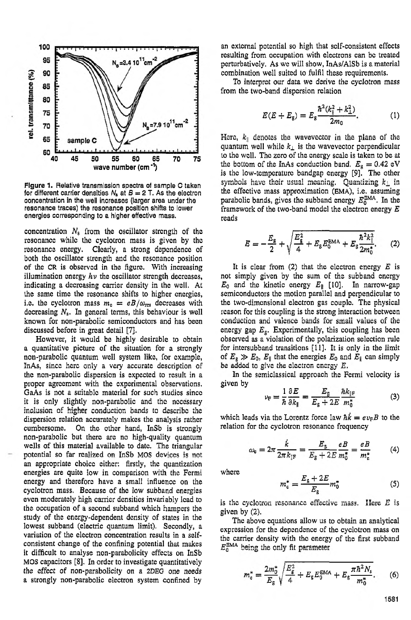

**Figure** 1. Relative transmlssion spectra of sample C taken for different carrier densities  $N_a$  at  $B = 2$  T. As the electron concentration in the **well** increases (larger area under the resonance traces) the resonance position shifts*to* lower energies corresponding*to* a higher effective mass.

concentration  $N_8$  from the oscillator strength of the resonancc while the cyclotron mass is given by thc resonance energy. Clearly, a strong dependence of both the oscillator strength and the resonance position of the CR is observed in the figure. With increasing illumination energy *h*  $\nu$  the oscillator strength decreases, indicating a decreasing carrier density in the well. At the same time the resonance shifts to higher energies, i.e. the cyclotron mass  $m_c = eB/\omega_{\text{res}}$  decreases with decreasing  $N_s$ . In general terms, this behaviour is well discussed before in great detail **171.** known for non-parabolic semiconductors and has been

However, it would be highly desirable to obtain a quantitative picture of tho situation for a strongly non-parabolic quantum well system like, for example, the non-parabolic dispersion is expected to result in a proper agreement with the cxperimental observations. GaAs is not a suitable material for such studies since it is only slightly non-parabolic and thc nccessary dispersion relation accurately makes the analysis rather cumbersome. On the other hand, InSb is strongly non-parabolic but there are no high-quality quantum wells of this material available to date. The triangular **an** appropriate choice either: firstly, the quantization energies are quite low in comparison with the Fermi energy and therefore have a small influence on the cyclotron mass. Because of the low subband energies even moderately high carrier densities invariably lead to the occupation of a second subband which hampers the study of the energy-dependent density of states in the lowest subband (electric quantum limit). Secondly, a variation of the electron concentration results in a selfconsistent change of the confining potential that makes it difficult to analyse non-parabolicity effects on InSb **MOS** capacitors **[SI.** In order to investigate quantitatively the effect of non-parabolicity on a *2DEG* one needs a strongly non-parabolic electron system confined by InAs, since here only a very accurate description of inclusion of higher conduction bands to describe the potential **so** far **realized** on InSb MOS **devices** is not

an external potential so high that sclf-consistent effects resulting from occupation with electrons can bc treated perturbatively. As we will show, InAs/AlSb is a material combination well suited to fulfil these requirements.

To interpret our data we derive the cyclotron mass from the two-band dispersion relation

$$
E(E + E_{\rm g}) = E_{\rm g} \frac{\hbar^2 (k_{\rm g}^2 + k_{\perp}^2)}{2m_0}.
$$
 (1)

Here,  $k_{\parallel}$  denotes the wavevector in the plane of the quantum well while  $k_{\perp}$  is the wavevector perpendicular to the well. The zero of the cnergy scale is taken to be at the bottom of the InAs conduction band.  $E<sub>g</sub> = 0.42$  **eV** is tho low-tcmperature bandgap energy **[9].** The other the effective mass approximation **(EMA),** i.e. assuming parabolic bands, gives the subband energy  $E_0^{\text{EMA}}$ . In the framework of the two-band model the electron energy *E* reads symbols have their usual meaning. Quantizing  $k_{\perp}$  in

$$
E = -\frac{E_{\rm g}}{2} + \sqrt{\frac{E_{\rm g}^2}{4} + E_{\rm g} E_{\rm o}^{\rm EMA} + E_{\rm g} \frac{\hbar^2 k_{\parallel}^2}{2m_{\rm o}^*}}.
$$
 (2)

It is clear from *(2)* that the clcctron energy *E* is not simply given by tine sum of tine subband energy  $E_0$  and the kinetic energy  $E_{\parallel}$  [10]. In narrow-gap semiconductors the motion parallel and perpendicular to the two-dimonsional electron gas couplo. The physical rcason for this coupling is the strong interaction between the two-differential electron gas couple. The physical<br>reason for this coupling is the strong interaction between<br>conduction and valence bands for small values of the energy gap  $E_{\rm g}$ . Experimentally, this coupling has been observed **as** a violation of the polarization selection rule for intersubband transitions [ll]. It is only in the limit of  $E_{g} \gg E_{0}$ ,  $E_{\parallel}$  that the energies  $E_{0}$  and  $E_{\parallel}$  can simply of  $E_8 \gg E_0$ ,  $E_{\parallel}$  that the energies  $E_0$  and<br>be added to give the electron energy  $E$ .

In the semiclassical approach the Fermi velocity is eiven bv

$$
\nu_{\rm F} = \frac{1}{\hbar} \frac{\partial E}{\partial k_{\parallel}} = \frac{E_{\rm g}}{E_{\rm g} + 2E} \frac{\hbar k_{\parallel \rm F}}{m_0^*} \tag{3}
$$

which leads via the Lorentz force law  $\hbar k = ev_F B$  to the relation for tho cyclotron resonance frequency

$$
\omega_{\rm c} = 2\pi \frac{\dot{k}}{2\pi k_{\parallel \rm F}} = \frac{E_{\rm g}}{E_{\rm g} + 2E} \frac{eB}{m_{\rm o}^*} = \frac{eB}{m_{\rm c}^*} \tag{4}
$$

where

$$
m_c^* = \frac{E_g + 2E}{E_g} m_0^* \tag{5}
$$

is the cyclotron resonance effective mass. Here  $E$  is given by **(2).**

The above equations allow us to obtain an analytical expression for the dependence of the cyclotron mass on the carrier density with the energy of the first subband  $E_0^{\text{BMA}}$  being the only fit parameter

$$
m_c^* = \frac{2m_0^*}{E_s} \sqrt{\frac{E_g^2}{4} + E_g E_0^{\text{EMA}}} + E_g \frac{\pi \hbar^2 N_s}{m_0^*}.
$$
 (6)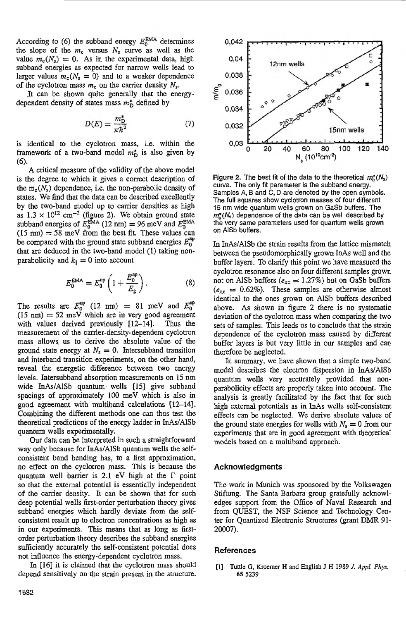According to (6) the subband energy  $E_0^{\text{EMA}}$  determines the slope of the  $m_c$  versus  $N_s$  curve as well as the value  $m_c(N_s) = 0$ . As in the experimental data, high subband energies as expected for narrow wells lead to larger values  $m_c(N_s = 0)$  and to a weaker dependence of the cyclotron mass  $m_c$  on the carrier density  $N_s$ .

It can be shown quite generally that the energydependent density of states mass  $m_{\text{D}}^*$  defined by

$$
D(E) = \frac{m_D^*}{\pi \hbar^2} \tag{7}
$$

is identical to the cyclotron mass, i.e. within the framework of a two-band model  $m_{\text{D}}^*$  is also given by *(6).*

A critical measure of the validity of the above model is the degree to which it gives a correct description of the  $m_c(N_s)$  dependence, i.e. the non-parabolic density of states. We find that the data can be described excellently by the two-band model up to carrier densities as high as  $1.3 \times 10^{12}$  cm<sup>-2</sup> (figure 2). We obtain ground state subband energies of  $E_0^{\text{EMA}}$  (12 nm) = 96 meV and  $E_0^{\text{EMA}}$  $(15 \text{ nm}) = 58 \text{ meV}$  from the best fit. These values can be compared with the ground state subband energies  $E_0^{\text{np}}$ that are deduced in the two-band model **(1)** taking nonparabolicity and  $k_{\parallel}=0$  into account

$$
E_0^{\text{EMA}} = E_0^{\text{np}} \left( 1 + \frac{E_0^{\text{np}}}{E_g} \right). \tag{8}
$$

The results are  $E_0^{np}$  (12 nm) = 81 meV and  $E_0^{np}$  $(15 \text{ nm}) = 52 \text{ meV}$  which are in very good agreement with values derived previously **[12-14].** Thus the measurement of the carrier-density-dependent cyclotron mass allows, **us** to derive the absolute value of the ground state energy at  $N_s = 0$ . Intersubband transition and interband transition experiments, on the other hand, reveal the energetic difference between two energy levels. Intersubband absorption measurements on 15 nm wide InAs/AlSb quantum' wells [l5] give subband spacings of approximately 100 meV which is also in good agreement with multiband calculations [12-141. Combining the different methods one can thus test the theoretical predictions of the energy ladder in InAs/AlSb quantum wells experimentally.

Our data can be interpreted in such a straightforward way only because for InAs/AlSb quantum wells the selfconsistent band bending has, to a first approximation, no effect on the cyclotron mass. This is because the quantum well barrier is 2.1 eV high at the  $\Gamma$  point so that the external potential is essentially independent of the canier density. It can be shown that for such deep potential wells first-order perturbation theory gives subband energies which hardly deviate from the selfconsistent result up to electron concentrations as high as in our experiments. This means that as long as firstorder perturbation theory describes the subband energies sufficiently accurately the self-consistent potential does not influence the energy-dependent cyclotron mass.

In [16] it is claimed that the cyclotron mass should depend sensitively on the strain present in the structure.



**Figure 2.** The best fit of the data to the theoretical  $m_e^*(N_s)$ curve. The only fit parameter is the subband energy. Samples**A,** B and C, D are denoted by the open symbols. The full squares show cyclotron masses of four different 15nm wide quantumwells **grown** on GaSb buffers. The  $m<sub>s</sub>(N<sub>s</sub>)$  dependence of the data can be well described by the very same parameters used for quantum wells grown on AlSb buffers.

In InAs/AISb the strain results from the lattice mismatch between the pseudomorphically grown InAs well and the buffer layers. To clarify this point we have measured the cyclotron resonance also on four different samples grown not on AlSb buffers  $(e_{xx} = 1.27\%)$  but on GaSb buffers  $(e_{xx} = 0.62\%)$ . These samples are otherwise almost identical to the ones grown on AlSb buffers described above. As shown in figure 2 there is no systematic deviation of the cyclotron mass when comparing the two sets of samples. This leads **us** to conclude that the strain dependence of the cyclotron mass caused by different buffer layers is but very little in our samples and can therefore be neglected.

In summary, we have shown that a simple two-band model describes the electron dispersion in InAs/AlSb quantum wells very accurately provided that nonparabolicity effects are properly taken into account. The analysis is greatly facilitated by the fact that for such high external potentials as in InAs wells self-consistent effects can be neglected. We derive absolute values of the ground state energies for wells with  $N_s = 0$  from our experiments that are in good agreement with theoretical models based on a multiband approach.

## **Acknowledgments**

The work in Munich was sponsored by the Volkswagen Stiftung. The Santa Barbara group gratefully acknowledges support from the Office of Naval Research and from QUEST, the **NSF** Science and Technology Center for Quantized Electronic Structures (grant **DMR** 91- 20007).

## **References**

[I] Tuttle **G,Kroemer H and English <sup>J</sup> H** 1989*J. Appl. Phys.* **65 5239**